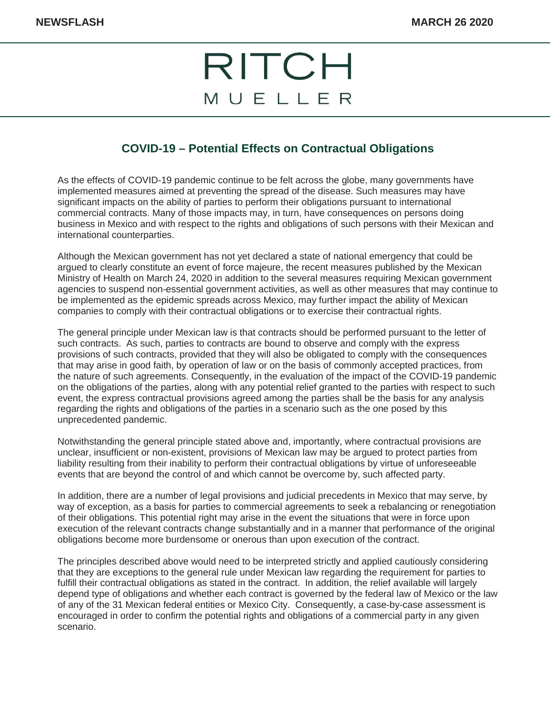## RITCH MUELLER

## **COVID-19 – Potential Effects on Contractual Obligations**

As the effects of COVID-19 pandemic continue to be felt across the globe, many governments have implemented measures aimed at preventing the spread of the disease. Such measures may have significant impacts on the ability of parties to perform their obligations pursuant to international commercial contracts. Many of those impacts may, in turn, have consequences on persons doing business in Mexico and with respect to the rights and obligations of such persons with their Mexican and international counterparties.

Although the Mexican government has not yet declared a state of national emergency that could be argued to clearly constitute an event of force majeure, the recent measures published by the Mexican Ministry of Health on March 24, 2020 in addition to the several measures requiring Mexican government agencies to suspend non-essential government activities, as well as other measures that may continue to be implemented as the epidemic spreads across Mexico, may further impact the ability of Mexican companies to comply with their contractual obligations or to exercise their contractual rights.

The general principle under Mexican law is that contracts should be performed pursuant to the letter of such contracts. As such, parties to contracts are bound to observe and comply with the express provisions of such contracts, provided that they will also be obligated to comply with the consequences that may arise in good faith, by operation of law or on the basis of commonly accepted practices, from the nature of such agreements. Consequently, in the evaluation of the impact of the COVID-19 pandemic on the obligations of the parties, along with any potential relief granted to the parties with respect to such event, the express contractual provisions agreed among the parties shall be the basis for any analysis regarding the rights and obligations of the parties in a scenario such as the one posed by this unprecedented pandemic.

Notwithstanding the general principle stated above and, importantly, where contractual provisions are unclear, insufficient or non-existent, provisions of Mexican law may be argued to protect parties from liability resulting from their inability to perform their contractual obligations by virtue of unforeseeable events that are beyond the control of and which cannot be overcome by, such affected party.

In addition, there are a number of legal provisions and judicial precedents in Mexico that may serve, by way of exception, as a basis for parties to commercial agreements to seek a rebalancing or renegotiation of their obligations. This potential right may arise in the event the situations that were in force upon execution of the relevant contracts change substantially and in a manner that performance of the original obligations become more burdensome or onerous than upon execution of the contract.

The principles described above would need to be interpreted strictly and applied cautiously considering that they are exceptions to the general rule under Mexican law regarding the requirement for parties to fulfill their contractual obligations as stated in the contract. In addition, the relief available will largely depend type of obligations and whether each contract is governed by the federal law of Mexico or the law of any of the 31 Mexican federal entities or Mexico City. Consequently, a case-by-case assessment is encouraged in order to confirm the potential rights and obligations of a commercial party in any given scenario.